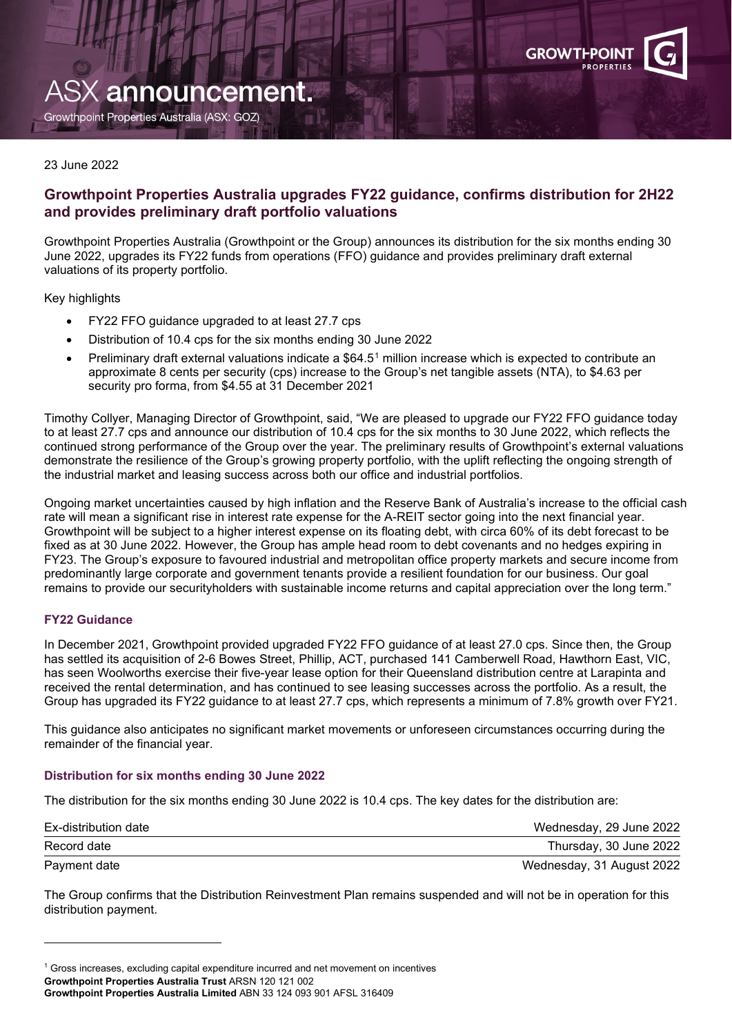

# ASX announcement.

Growthpoint Properties Australia (ASX: GOZ)

#### 23 June 2022

## **Growthpoint Properties Australia upgrades FY22 guidance, confirms distribution for 2H22 and provides preliminary draft portfolio valuations**

Growthpoint Properties Australia (Growthpoint or the Group) announces its distribution for the six months ending 30 June 2022, upgrades its FY22 funds from operations (FFO) guidance and provides preliminary draft external valuations of its property portfolio.

Key highlights

- FY22 FFO guidance upgraded to at least 27.7 cps
- Distribution of 10.4 cps for the six months ending 30 June 2022
- Preliminary draft external valuations indicate a \$64.5[1](#page-0-0) million increase which is expected to contribute an approximate 8 cents per security (cps) increase to the Group's net tangible assets (NTA), to \$4.63 per security pro forma, from \$4.55 at 31 December 2021

Timothy Collyer, Managing Director of Growthpoint, said, "We are pleased to upgrade our FY22 FFO guidance today to at least 27.7 cps and announce our distribution of 10.4 cps for the six months to 30 June 2022, which reflects the continued strong performance of the Group over the year. The preliminary results of Growthpoint's external valuations demonstrate the resilience of the Group's growing property portfolio, with the uplift reflecting the ongoing strength of the industrial market and leasing success across both our office and industrial portfolios.

Ongoing market uncertainties caused by high inflation and the Reserve Bank of Australia's increase to the official cash rate will mean a significant rise in interest rate expense for the A-REIT sector going into the next financial year. Growthpoint will be subject to a higher interest expense on its floating debt, with circa 60% of its debt forecast to be fixed as at 30 June 2022. However, the Group has ample head room to debt covenants and no hedges expiring in FY23. The Group's exposure to favoured industrial and metropolitan office property markets and secure income from predominantly large corporate and government tenants provide a resilient foundation for our business. Our goal remains to provide our securityholders with sustainable income returns and capital appreciation over the long term."

### **FY22 Guidance**

In December 2021, Growthpoint provided upgraded FY22 FFO guidance of at least 27.0 cps. Since then, the Group has settled its acquisition of 2-6 Bowes Street, Phillip, ACT, purchased 141 Camberwell Road, Hawthorn East, VIC, has seen Woolworths exercise their five-year lease option for their Queensland distribution centre at Larapinta and received the rental determination, and has continued to see leasing successes across the portfolio. As a result, the Group has upgraded its FY22 guidance to at least 27.7 cps, which represents a minimum of 7.8% growth over FY21.

This guidance also anticipates no significant market movements or unforeseen circumstances occurring during the remainder of the financial year.

#### **Distribution for six months ending 30 June 2022**

The distribution for the six months ending 30 June 2022 is 10.4 cps. The key dates for the distribution are:

| Ex-distribution date | Wednesday, 29 June 2022   |
|----------------------|---------------------------|
| Record date          | Thursday, 30 June 2022    |
| Payment date         | Wednesday, 31 August 2022 |

The Group confirms that the Distribution Reinvestment Plan remains suspended and will not be in operation for this distribution payment.

<span id="page-0-0"></span>**Growthpoint Properties Australia Trust** ARSN 120 121 002 **Growthpoint Properties Australia Limited** ABN 33 124 093 901 AFSL 316409 <sup>1</sup> Gross increases, excluding capital expenditure incurred and net movement on incentives